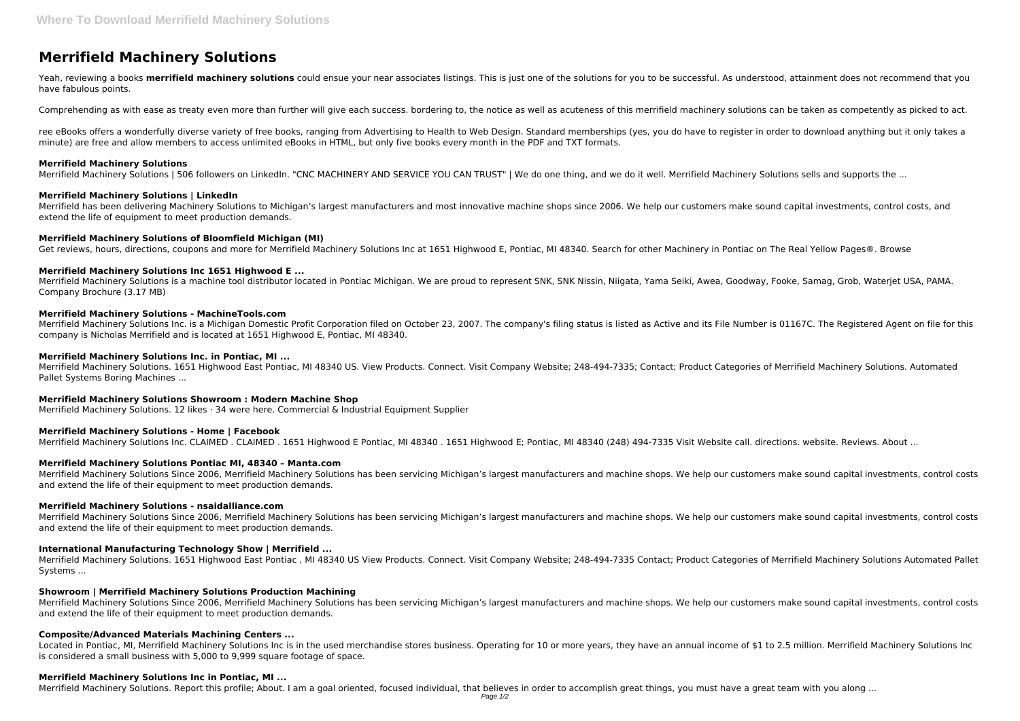# **Merrifield Machinery Solutions**

Yeah, reviewing a books **merrifield machinery solutions** could ensue your near associates listings. This is just one of the solutions for you to be successful. As understood, attainment does not recommend that you have fabulous points.

Comprehending as with ease as treaty even more than further will give each success. bordering to, the notice as well as acuteness of this merrifield machinery solutions can be taken as competently as picked to act.

ree eBooks offers a wonderfully diverse variety of free books, ranging from Advertising to Health to Web Design. Standard memberships (yes, you do have to register in order to download anything but it only takes a minute) are free and allow members to access unlimited eBooks in HTML, but only five books every month in the PDF and TXT formats.

## **Merrifield Machinery Solutions**

Merrifield Machinery Solutions | 506 followers on LinkedIn. "CNC MACHINERY AND SERVICE YOU CAN TRUST" | We do one thing, and we do it well. Merrifield Machinery Solutions sells and supports the ...

# **Merrifield Machinery Solutions | LinkedIn**

Merrifield has been delivering Machinery Solutions to Michigan's largest manufacturers and most innovative machine shops since 2006. We help our customers make sound capital investments, control costs, and extend the life of equipment to meet production demands.

# **Merrifield Machinery Solutions of Bloomfield Michigan (MI)**

Get reviews, hours, directions, coupons and more for Merrifield Machinery Solutions Inc at 1651 Highwood E, Pontiac, MI 48340. Search for other Machinery in Pontiac on The Real Yellow Pages®. Browse

# **Merrifield Machinery Solutions Inc 1651 Highwood E ...**

Merrifield Machinery Solutions is a machine tool distributor located in Pontiac Michigan. We are proud to represent SNK, SNK Nissin, Niigata, Yama Seiki, Awea, Goodway, Fooke, Samag, Grob, Waterjet USA, PAMA. Company Brochure (3.17 MB)

# **Merrifield Machinery Solutions - MachineTools.com**

Merrifield Machinery Solutions Since 2006, Merrifield Machinery Solutions has been servicing Michigan's largest manufacturers and machine shops. We help our customers make sound capital investments, control costs and extend the life of their equipment to meet production demands.

Merrifield Machinery Solutions Inc. is a Michigan Domestic Profit Corporation filed on October 23, 2007. The company's filing status is listed as Active and its File Number is 01167C. The Registered Agent on file for this company is Nicholas Merrifield and is located at 1651 Highwood E, Pontiac, MI 48340.

Located in Pontiac, MI, Merrifield Machinery Solutions Inc is in the used merchandise stores business. Operating for 10 or more years, they have an annual income of \$1 to 2.5 million. Merrifield Machinery Solutions Inc is considered a small business with 5,000 to 9,999 square footage of space.

# **Merrifield Machinery Solutions Inc. in Pontiac, MI ...**

Merrifield Machinery Solutions. 1651 Highwood East Pontiac, MI 48340 US. View Products. Connect. Visit Company Website; 248-494-7335; Contact; Product Categories of Merrifield Machinery Solutions. Automated Pallet Systems Boring Machines ...

## **Merrifield Machinery Solutions Showroom : Modern Machine Shop**

Merrifield Machinery Solutions. 12 likes · 34 were here. Commercial & Industrial Equipment Supplier

# **Merrifield Machinery Solutions - Home | Facebook**

Merrifield Machinery Solutions Inc. CLAIMED . CLAIMED . 1651 Highwood E Pontiac, MI 48340 . 1651 Highwood E; Pontiac, MI 48340 (248) 494-7335 Visit Website call. directions. website. Reviews. About ...

# **Merrifield Machinery Solutions Pontiac MI, 48340 – Manta.com**

Merrifield Machinery Solutions Since 2006, Merrifield Machinery Solutions has been servicing Michigan's largest manufacturers and machine shops. We help our customers make sound capital investments, control costs and extend the life of their equipment to meet production demands.

## **Merrifield Machinery Solutions - nsaidalliance.com**

Merrifield Machinery Solutions Since 2006, Merrifield Machinery Solutions has been servicing Michigan's largest manufacturers and machine shops. We help our customers make sound capital investments, control costs and extend the life of their equipment to meet production demands.

# **International Manufacturing Technology Show | Merrifield ...**

Merrifield Machinery Solutions. 1651 Highwood East Pontiac , MI 48340 US View Products. Connect. Visit Company Website; 248-494-7335 Contact; Product Categories of Merrifield Machinery Solutions Automated Pallet Systems ...

# **Showroom | Merrifield Machinery Solutions Production Machining**

# **Composite/Advanced Materials Machining Centers ...**

## **Merrifield Machinery Solutions Inc in Pontiac, MI ...**

Merrifield Machinery Solutions. Report this profile; About. I am a goal oriented, focused individual, that believes in order to accomplish great things, you must have a great team with you along ...